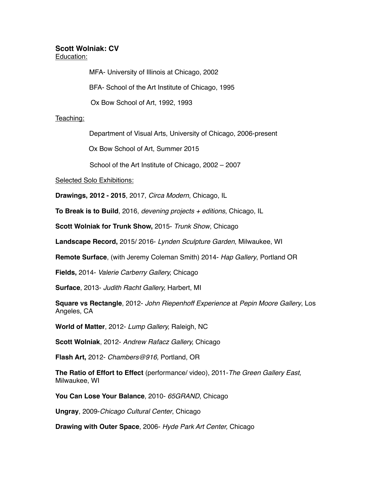## **Scott Wolniak: CV**

Education:

MFA- University of Illinois at Chicago, 2002

BFA- School of the Art Institute of Chicago, 1995

Ox Bow School of Art, 1992, 1993

## Teaching:

Department of Visual Arts, University of Chicago, 2006-present

Ox Bow School of Art, Summer 2015

School of the Art Institute of Chicago, 2002 – 2007

Selected Solo Exhibitions:

**Drawings, 2012 - 2015**, 2017, *Circa Modern*, Chicago, IL

**To Break is to Build**, 2016, *devening projects + editions*, Chicago, IL

**Scott Wolniak for Trunk Show,** 2015- *Trunk Show*, Chicago

**Landscape Record,** 2015/ 2016- *Lynden Sculpture Garden*, Milwaukee, WI

**Remote Surface**, (with Jeremy Coleman Smith) 2014- *Hap Gallery*, Portland OR

**Fields,** 2014- *Valerie Carberry Gallery,* Chicago

**Surface**, 2013- *Judith Racht Gallery,* Harbert, MI

**Square vs Rectangle**, 2012- *John Riepenhoff Experience* at *Pepin Moore Gallery*, Los Angeles, CA

**World of Matter**, 2012- *Lump Gallery,* Raleigh, NC

**Scott Wolniak**, 2012- *Andrew Rafacz Gallery,* Chicago

**Flash Art,** 2012- *Chambers@916,* Portland, OR

**The Ratio of Effort to Effect** (performance/ video), 2011-*The Green Gallery East,*  Milwaukee, WI

**You Can Lose Your Balance**, 2010- *65GRAND*, Chicago

**Ungray**, 2009-*Chicago Cultural Center*, Chicago

**Drawing with Outer Space**, 2006- *Hyde Park Art Center,* Chicago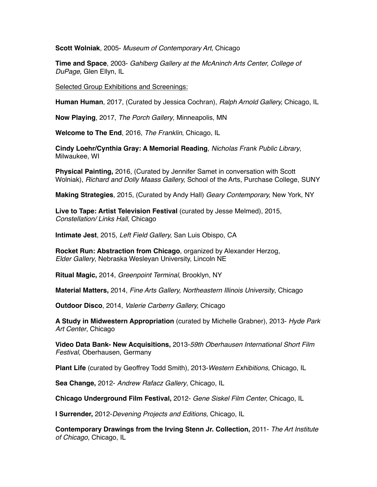**Scott Wolniak**, 2005- *Museum of Contemporary Art*, Chicago

**Time and Space**, 2003- *Gahlberg Gallery at the McAninch Arts Center, College of DuPage*, Glen Ellyn, IL

Selected Group Exhibitions and Screenings:

**Human Human**, 2017, (Curated by Jessica Cochran), *Ralph Arnold Gallery,* Chicago, IL

**Now Playing**, 2017, *The Porch Gallery*, Minneapolis, MN

**Welcome to The End**, 2016, *The Franklin*, Chicago, IL

**Cindy Loehr/Cynthia Gray: A Memorial Reading**, *Nicholas Frank Public Library*, Milwaukee, WI

**Physical Painting,** 2016, (Curated by Jennifer Samet in conversation with Scott Wolniak), *Richard and Dolly Maass Gallery,* School of the Arts, Purchase College, SUNY

**Making Strategies**, 2015, (Curated by Andy Hall) *Geary Contemporary,* New York, NY

**Live to Tape: Artist Television Festival** (curated by Jesse Melmed), 2015, *Constellation/ Links Hall,* Chicago

**Intimate Jest**, 2015, *Left Field Gallery,* San Luis Obispo, CA

**Rocket Run: Abstraction from Chicago**, organized by Alexander Herzog, *Elder Gallery*, Nebraska Wesleyan University, Lincoln NE

**Ritual Magic,** 2014, *Greenpoint Terminal,* Brooklyn, NY

**Material Matters,** 2014, *Fine Arts Gallery, Northeastern Illinois University*, Chicago

**Outdoor Disco**, 2014, *Valerie Carberry Gallery,* Chicago

**A Study in Midwestern Appropriation** (curated by Michelle Grabner), 2013- *Hyde Park Art Center*, Chicago

**Video Data Bank- New Acquisitions,** 2013-*59th Oberhausen International Short Film Festival,* Oberhausen, Germany

**Plant Life** (curated by Geoffrey Todd Smith), 2013-*Western Exhibitions,* Chicago, IL

**Sea Change,** 2012- *Andrew Rafacz Gallery*, Chicago, IL

**Chicago Underground Film Festival,** 2012- *Gene Siskel Film Center,* Chicago, IL

**I Surrender,** 2012-*Devening Projects and Editions,* Chicago, IL

**Contemporary Drawings from the Irving Stenn Jr. Collection,** 2011- *The Art Institute of Chicago,* Chicago, IL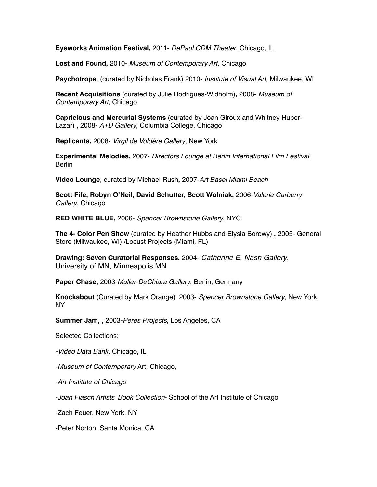**Eyeworks Animation Festival,** 2011- *DePaul CDM Theater*, Chicago, IL

**Lost and Found,** 2010- *Museum of Contemporary Art,* Chicago

**Psychotrope**, (curated by Nicholas Frank) 2010- *Institute of Visual Art,* Milwaukee, WI

**Recent Acquisitions** (curated by Julie Rodrigues-Widholm)**,** 2008- *Museum of Contemporary Art*, Chicago

**Capricious and Mercurial Systems** (curated by Joan Giroux and Whitney Huber-Lazar) **,** 2008- *A+D Gallery*, Columbia College, Chicago

**Replicants,** 2008- *Virgil de Voldére Gallery*, New York

**Experimental Melodies,** 2007- *Directors Lounge at Berlin International Film Festival,* **Berlin** 

**Video Lounge**, curated by Michael Rush**,** 2007-*Art Basel Miami Beach*

**Scott Fife, Robyn O'Neil, David Schutter, Scott Wolniak,** 2006-*Valerie Carberry Gallery*, Chicago

**RED WHITE BLUE,** 2006- *Spencer Brownstone Gallery*, NYC

**The 4- Color Pen Show** (curated by Heather Hubbs and Elysia Borowy) **,** 2005- General Store (Milwaukee, WI) /Locust Projects (Miami, FL)

**Drawing: Seven Curatorial Responses,** 2004- *Catherine E. Nash Gallery*, University of MN, Minneapolis MN

**Paper Chase,** 2003-*Muller-DeChiara Gallery*, Berlin, Germany

**Knockabout** (Curated by Mark Orange) 2003- *Spencer Brownstone Gallery*, New York, NY

**Summer Jam, ,** 2003-*Peres Projects*, Los Angeles, CA

Selected Collections:

*-Video Data Bank,* Chicago, IL

-*Museum of Contemporary* Art, Chicago,

-*Art Institute of Chicago*

-*Joan Flasch Artists' Book Collection*- School of the Art Institute of Chicago

-Zach Feuer, New York, NY

-Peter Norton, Santa Monica, CA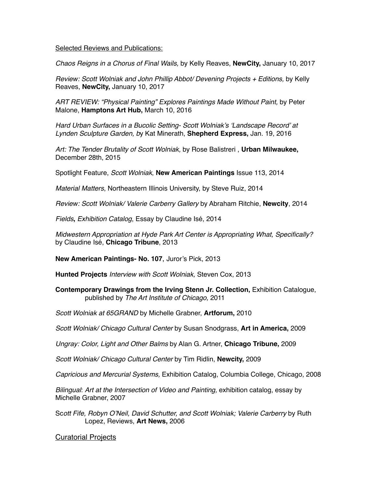## Selected Reviews and Publications:

*Chaos Reigns in a Chorus of Final Wails,* by Kelly Reaves, **NewCity,** January 10, 2017

*Review: Scott Wolniak and John Phillip Abbot/ Devening Projects + Editions, by Kelly* Reaves, **NewCity,** January 10, 2017

*ART REVIEW: "Physical Painting" Explores Paintings Made Without Paint,* by Peter Malone, **Hamptons Art Hub,** March 10, 2016

*Hard Urban Surfaces in a Bucolic Setting- Scott Wolniak's 'Landscape Record' at Lynden Sculpture Garden, b*y [Kat Minerath](http://shepherdexpress.com/by-author-356-1.html), **Shepherd Express,** Jan. 19, 2016

*Art: The Tender Brutality of Scott Wolniak,* by [Rose Balistreri](http://urbanmilwaukee.com/author/rose-balistreri/) , **Urban Milwaukee,** December 28th, 2015

Spotlight Feature, *Scott Wolniak*, **New American Paintings** Issue 113, 2014

*Material Matters*, Northeastern Illinois University, by Steve Ruiz, 2014

*Review: Scott Wolniak/ Valerie Carberry Gallery* by Abraham Ritchie, **Newcity**, 2014

*Fields***,** *Exhibition Catalog*, Essay by Claudine Isé, 2014

*Midwestern Appropriation at Hyde Park Art Center is Appropriating What, Specifically?* by Claudine Isé, **Chicago Tribune**, 2013

**New American Paintings- No. 107**, Juror's Pick, 2013

**Hunted Projects** *Interview with Scott Wolniak,* Steven Cox, 2013

**Contemporary Drawings from the Irving Stenn Jr. Collection,** Exhibition Catalogue, published by *The Art Institute of Chicago,* 2011

*Scott Wolniak at 65GRAND* by Michelle Grabner, **Artforum,** 2010

*Scott Wolniak/ Chicago Cultural Center* by Susan Snodgrass, **Art in America,** 2009

*Ungray: Color, Light and Other Balms* by Alan G. Artner, **Chicago Tribune,** 2009

*Scott Wolniak/ Chicago Cultural Center* by Tim Ridlin, **Newcity,** 2009

*Capricious and Mercurial Systems,* Exhibition Catalog, Columbia College, Chicago, 2008

*Bilingual*: *Art at the Intersection of Video and Painting,* exhibition catalog, essay by Michelle Grabner, 2007

Sc*ott Fife, Robyn O'Neil, David Schutter, and Scott Wolniak; Valerie Carberry* by Ruth Lopez, Reviews, **Art News,** 2006

## Curatorial Projects